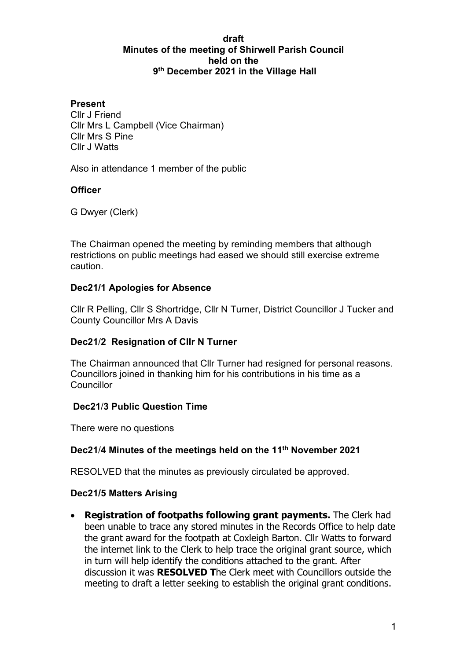#### **draft Minutes of the meeting of Shirwell Parish Council held on the 9th December 2021 in the Village Hall**

#### **Present**

Cllr J Friend Cllr Mrs L Campbell (Vice Chairman) Cllr Mrs S Pine Cllr J Watts

Also in attendance 1 member of the public

## **Officer**

G Dwyer (Clerk)

The Chairman opened the meeting by reminding members that although restrictions on public meetings had eased we should still exercise extreme caution.

## **Dec21/1 Apologies for Absence**

Cllr R Pelling, Cllr S Shortridge, Cllr N Turner, District Councillor J Tucker and County Councillor Mrs A Davis

## **Dec21**/**2 Resignation of Cllr N Turner**

The Chairman announced that Cllr Turner had resigned for personal reasons. Councillors joined in thanking him for his contributions in his time as a **Councillor** 

## **Dec21**/**3 Public Question Time**

There were no questions

## **Dec21**/**4 Minutes of the meetings held on the 11th November 2021**

RESOLVED that the minutes as previously circulated be approved.

#### **Dec21/5 Matters Arising**

• **Registration of footpaths following grant payments.** The Clerk had been unable to trace any stored minutes in the Records Office to help date the grant award for the footpath at Coxleigh Barton. Cllr Watts to forward the internet link to the Clerk to help trace the original grant source, which in turn will help identify the conditions attached to the grant. After discussion it was **RESOLVED T**he Clerk meet with Councillors outside the meeting to draft a letter seeking to establish the original grant conditions.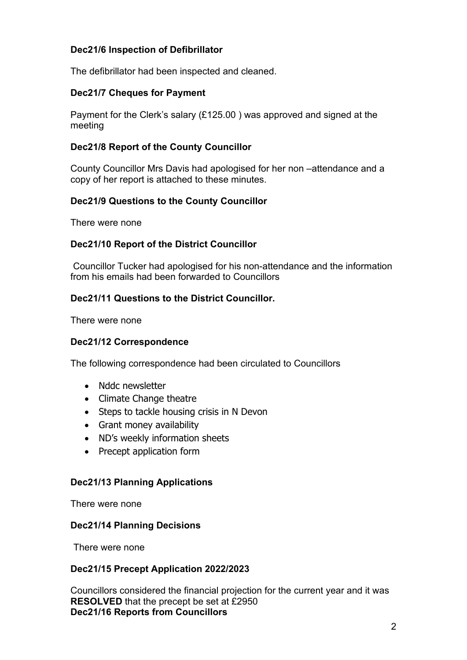# **Dec21/6 Inspection of Defibrillator**

The defibrillator had been inspected and cleaned.

## **Dec21/7 Cheques for Payment**

Payment for the Clerk's salary (£125.00 ) was approved and signed at the meeting

# **Dec21/8 Report of the County Councillor**

County Councillor Mrs Davis had apologised for her non –attendance and a copy of her report is attached to these minutes.

# **Dec21/9 Questions to the County Councillor**

There were none

# **Dec21/10 Report of the District Councillor**

Councillor Tucker had apologised for his non-attendance and the information from his emails had been forwarded to Councillors

# **Dec21/11 Questions to the District Councillor.**

There were none

## **Dec21/12 Correspondence**

The following correspondence had been circulated to Councillors

- Nddc newsletter
- Climate Change theatre
- Steps to tackle housing crisis in N Devon
- Grant money availability
- ND's weekly information sheets
- Precept application form

#### **Dec21/13 Planning Applications**

There were none

#### **Dec21/14 Planning Decisions**

There were none

## **Dec21/15 Precept Application 2022/2023**

Councillors considered the financial projection for the current year and it was **RESOLVED** that the precept be set at £2950 **Dec21/16 Reports from Councillors**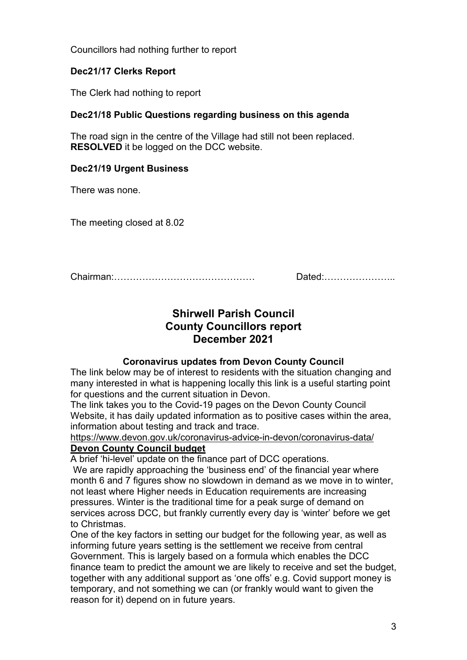Councillors had nothing further to report

# **Dec21/17 Clerks Report**

The Clerk had nothing to report

# **Dec21/18 Public Questions regarding business on this agenda**

The road sign in the centre of the Village had still not been replaced. **RESOLVED** it be logged on the DCC website.

## **Dec21/19 Urgent Business**

There was none.

The meeting closed at 8.02

Chairman:……………………………………… Dated:…………………..

# **Shirwell Parish Council County Councillors report December 2021**

#### **Coronavirus updates from Devon County Council**

The link below may be of interest to residents with the situation changing and many interested in what is happening locally this link is a useful starting point for questions and the current situation in Devon.

The link takes you to the Covid-19 pages on the Devon County Council Website, it has daily updated information as to positive cases within the area, information about testing and track and trace.

<https://www.devon.gov.uk/coronavirus-advice-in-devon/coronavirus-data/> **Devon County Council budget** 

A brief 'hi-level' update on the finance part of DCC operations.

We are rapidly approaching the 'business end' of the financial year where month 6 and 7 figures show no slowdown in demand as we move in to winter, not least where Higher needs in Education requirements are increasing pressures. Winter is the traditional time for a peak surge of demand on services across DCC, but frankly currently every day is 'winter' before we get to Christmas.

One of the key factors in setting our budget for the following year, as well as informing future years setting is the settlement we receive from central Government. This is largely based on a formula which enables the DCC finance team to predict the amount we are likely to receive and set the budget, together with any additional support as 'one offs' e.g. Covid support money is temporary, and not something we can (or frankly would want to given the reason for it) depend on in future years.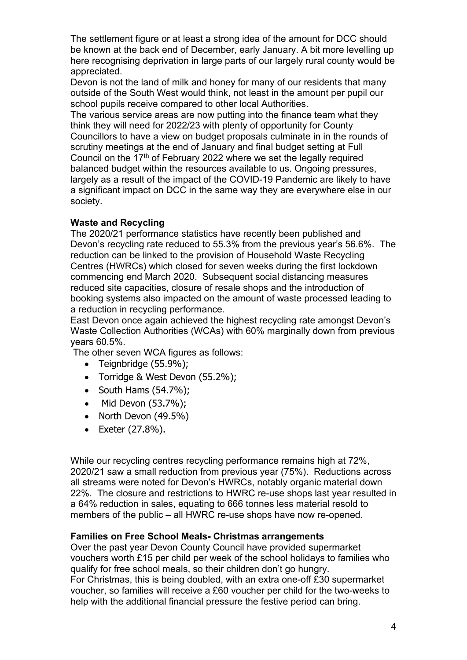The settlement figure or at least a strong idea of the amount for DCC should be known at the back end of December, early January. A bit more levelling up here recognising deprivation in large parts of our largely rural county would be appreciated.

Devon is not the land of milk and honey for many of our residents that many outside of the South West would think, not least in the amount per pupil our school pupils receive compared to other local Authorities.

The various service areas are now putting into the finance team what they think they will need for 2022/23 with plenty of opportunity for County Councillors to have a view on budget proposals culminate in in the rounds of scrutiny meetings at the end of January and final budget setting at Full Council on the 17<sup>th</sup> of February 2022 where we set the legally required balanced budget within the resources available to us. Ongoing pressures, largely as a result of the impact of the COVID-19 Pandemic are likely to have a significant impact on DCC in the same way they are everywhere else in our society.

#### **Waste and Recycling**

The 2020/21 performance statistics have recently been published and Devon's recycling rate reduced to 55.3% from the previous year's 56.6%. The reduction can be linked to the provision of Household Waste Recycling Centres (HWRCs) which closed for seven weeks during the first lockdown commencing end March 2020. Subsequent social distancing measures reduced site capacities, closure of resale shops and the introduction of booking systems also impacted on the amount of waste processed leading to a reduction in recycling performance.

East Devon once again achieved the highest recycling rate amongst Devon's Waste Collection Authorities (WCAs) with 60% marginally down from previous years 60.5%.

The other seven WCA figures as follows:

- Teignbridge (55.9%);
- Torridge & West Devon (55.2%);
- South Hams (54.7%);
- Mid Devon (53.7%);
- North Devon (49.5%)
- Exeter (27.8%).

While our recycling centres recycling performance remains high at 72%. 2020/21 saw a small reduction from previous year (75%). Reductions across all streams were noted for Devon's HWRCs, notably organic material down 22%. The closure and restrictions to HWRC re-use shops last year resulted in a 64% reduction in sales, equating to 666 tonnes less material resold to members of the public – all HWRC re-use shops have now re-opened.

#### **Families on Free School Meals- Christmas arrangements**

Over the past year Devon County Council have provided supermarket vouchers worth £15 per child per week of the school holidays to families who qualify for free school meals, so their children don't go hungry. For Christmas, this is being doubled, with an extra one-off £30 supermarket voucher, so families will receive a £60 voucher per child for the two-weeks to help with the additional financial pressure the festive period can bring.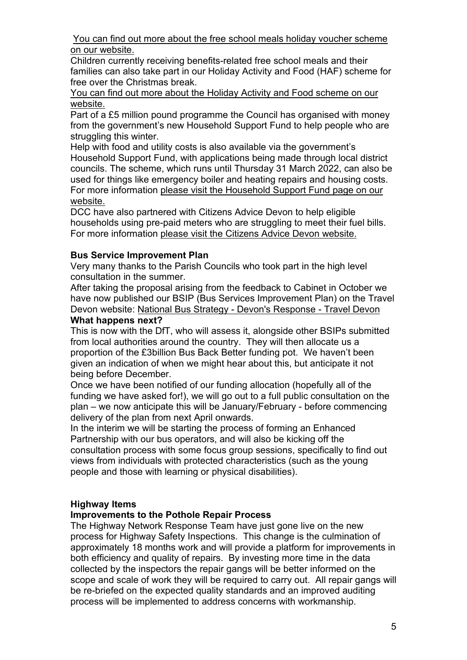[You can find out more about the free school meals holiday voucher scheme](https://www.devon.gov.uk/coronavirus-advice-in-devon/document/free-school-meals-holiday-voucher-scheme/)  [on our website.](https://www.devon.gov.uk/coronavirus-advice-in-devon/document/free-school-meals-holiday-voucher-scheme/)

Children currently receiving benefits-related free school meals and their families can also take part in our Holiday Activity and Food (HAF) scheme for free over the Christmas break.

[You can find out more about the Holiday Activity and Food scheme on](https://www.devon.gov.uk/educationandfamilies/family-support/haf-programme/information-for-parents) our [website.](https://www.devon.gov.uk/educationandfamilies/family-support/haf-programme/information-for-parents)

Part of a £5 million pound programme the Council has organised with money from the government's new Household Support Fund to help people who are struggling this winter.

Help with food and utility costs is also available via the government's Household Support Fund, with applications being made through local district councils. The scheme, which runs until Thursday 31 March 2022, can also be used for things like emergency boiler and heating repairs and housing costs. For more information [please visit the Household Support Fund page on our](https://www.devon.gov.uk/coronavirus-advice-in-devon/keeping-safe-well/household-support-fund/)  [website.](https://www.devon.gov.uk/coronavirus-advice-in-devon/keeping-safe-well/household-support-fund/)

DCC have also partnered with Citizens Advice Devon to help eligible households using pre-paid meters who are struggling to meet their fuel bills. For more information [please visit the Citizens Advice Devon website.](https://www.cabdevon.org.uk/)

# **Bus Service Improvement Plan**

Very many thanks to the Parish Councils who took part in the high level consultation in the summer.

After taking the proposal arising from the feedback to Cabinet in October we have now published our BSIP (Bus Services Improvement Plan) on the Travel Devon website: [National Bus Strategy - Devon's Response - Travel Devon](https://eur02.safelinks.protection.outlook.com/?url=https%3A%2F%2Fwww.traveldevon.info%2Fbus%2Fbsip%2F&data=04%7C01%7CAndrea.Davis%40devon.gov.uk%7Cdabe384794c44aa123e508d99ec61d87%7C8da13783cb68443fbb4b997f77fd5bfb%7C0%7C0%7C637715395993021414%7CUnknown%7CTWFpbGZsb3d8eyJWIjoiMC4wLjAwMDAiLCJQIjoiV2luMzIiLCJBTiI6Ik1haWwiLCJXVCI6Mn0%3D%7C1000&sdata=GHwWLCFFb%2FV%2BVuh%2Fc0XWnHtEAjjTPomuqiA7lHCQXGY%3D&reserved=0) **What happens next?**

This is now with the DfT, who will assess it, alongside other BSIPs submitted from local authorities around the country. They will then allocate us a proportion of the £3billion Bus Back Better funding pot. We haven't been given an indication of when we might hear about this, but anticipate it not being before December.

Once we have been notified of our funding allocation (hopefully all of the funding we have asked for!), we will go out to a full public consultation on the plan – we now anticipate this will be January/February - before commencing delivery of the plan from next April onwards.

In the interim we will be starting the process of forming an Enhanced Partnership with our bus operators, and will also be kicking off the consultation process with some focus group sessions, specifically to find out views from individuals with protected characteristics (such as the young people and those with learning or physical disabilities).

## **Highway Items**

## **Improvements to the Pothole Repair Process**

The Highway Network Response Team have just gone live on the new process for Highway Safety Inspections. This change is the culmination of approximately 18 months work and will provide a platform for improvements in both efficiency and quality of repairs. By investing more time in the data collected by the inspectors the repair gangs will be better informed on the scope and scale of work they will be required to carry out. All repair gangs will be re-briefed on the expected quality standards and an improved auditing process will be implemented to address concerns with workmanship.